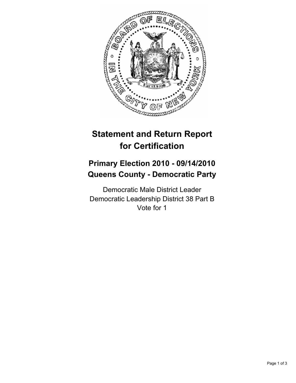

# **Statement and Return Report for Certification**

## **Primary Election 2010 - 09/14/2010 Queens County - Democratic Party**

Democratic Male District Leader Democratic Leadership District 38 Part B Vote for 1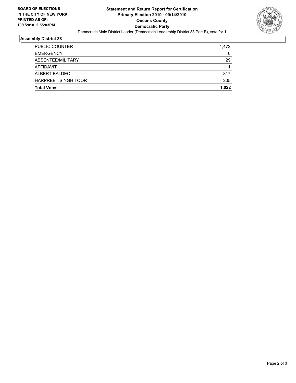

#### **Assembly District 38**

| PUBLIC COUNTER             | 1.472 |
|----------------------------|-------|
| <b>EMERGENCY</b>           | 0     |
| ABSENTEE/MILITARY          | 29    |
| AFFIDAVIT                  | 11    |
| ALBERT BALDEO              | 817   |
| <b>HARPREET SINGH TOOR</b> | 205   |
| <b>Total Votes</b>         | 1.022 |
|                            |       |